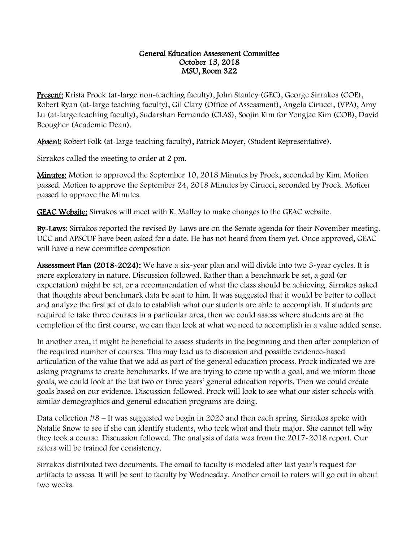## General Education Assessment Committee October 15, 2018 MSU, Room 322

Present: Krista Prock (at-large non-teaching faculty), John Stanley (GEC), George Sirrakos (COE), Robert Ryan (at-large teaching faculty), Gil Clary (Office of Assessment), Angela Cirucci, (VPA), Amy Lu (at-large teaching faculty), Sudarshan Fernando (CLAS), Soojin Kim for Yongjae Kim (COB), David Beougher (Academic Dean).

Absent: Robert Folk (at-large teaching faculty), Patrick Moyer, (Student Representative).

Sirrakos called the meeting to order at 2 pm.

**Minutes:** Motion to approved the September 10, 2018 Minutes by Prock, seconded by Kim. Motion passed. Motion to approve the September 24, 2018 Minutes by Cirucci, seconded by Prock. Motion passed to approve the Minutes.

GEAC Website: Sirrakos will meet with K. Malloy to make changes to the GEAC website.

By-Laws: Sirrakos reported the revised By-Laws are on the Senate agenda for their November meeting. UCC and APSCUF have been asked for a date. He has not heard from them yet. Once approved, GEAC will have a new committee composition

Assessment Plan (2018-2024): We have a six-year plan and will divide into two 3-year cycles. It is more exploratory in nature. Discussion followed. Rather than a benchmark be set, a goal (or expectation) might be set, or a recommendation of what the class should be achieving. Sirrakos asked that thoughts about benchmark data be sent to him. It was suggested that it would be better to collect and analyze the first set of data to establish what our students are able to accomplish. If students are required to take three courses in a particular area, then we could assess where students are at the completion of the first course, we can then look at what we need to accomplish in a value added sense.

In another area, it might be beneficial to assess students in the beginning and then after completion of the required number of courses. This may lead us to discussion and possible evidence-based articulation of the value that we add as part of the general education process. Prock indicated we are asking programs to create benchmarks. If we are trying to come up with a goal, and we inform those goals, we could look at the last two or three years' general education reports. Then we could create goals based on our evidence. Discussion followed. Prock will look to see what our sister schools with similar demographics and general education programs are doing.

Data collection #8 – It was suggested we begin in 2020 and then each spring. Sirrakos spoke with Natalie Snow to see if she can identify students, who took what and their major. She cannot tell why they took a course. Discussion followed. The analysis of data was from the 2017-2018 report. Our raters will be trained for consistency.

Sirrakos distributed two documents. The email to faculty is modeled after last year's request for artifacts to assess. It will be sent to faculty by Wednesday. Another email to raters will go out in about two weeks.